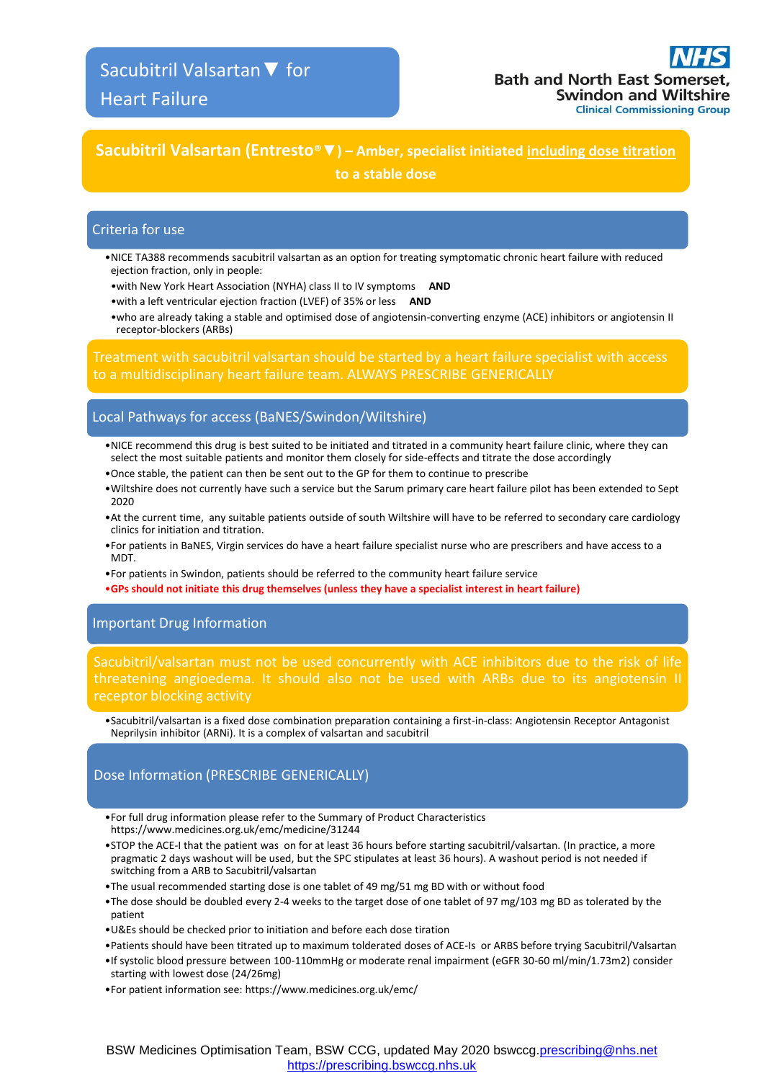## **Sacubitril Valsartan (Entresto®▼) – Amber, specialist initiated including dose titration**

**to a stable dose**

## Criteria for use

- •NICE TA388 recommends sacubitril valsartan as an option for treating symptomatic chronic heart failure with reduced ejection fraction, only in people:
- •with New York Heart Association (NYHA) class II to IV symptoms **AND**
- •with a left ventricular ejection fraction (LVEF) of 35% or less **AND**
- •who are already taking a stable and optimised dose of angiotensin-converting enzyme (ACE) inhibitors or angiotensin II receptor-blockers (ARBs)

Treatment with sacubitril valsartan should be started by a heart failure specialist with access to a multidisciplinary heart failure team. ALWAYS PRESCRIBE GENERICALLY

### Local Pathways for access (BaNES/Swindon/Wiltshire)

- •NICE recommend this drug is best suited to be initiated and titrated in a community heart failure clinic, where they can select the most suitable patients and monitor them closely for side-effects and titrate the dose accordingly
- •Once stable, the patient can then be sent out to the GP for them to continue to prescribe
- •Wiltshire does not currently have such a service but the Sarum primary care heart failure pilot has been extended to Sept 2020
- •At the current time, any suitable patients outside of south Wiltshire will have to be referred to secondary care cardiology clinics for initiation and titration.
- •For patients in BaNES, Virgin services do have a heart failure specialist nurse who are prescribers and have access to a MDT.
- •For patients in Swindon, patients should be referred to the community heart failure service
- •**GPs should not initiate this drug themselves (unless they have a specialist interest in heart failure)**

## Important Drug Information

[Sacubitril/valsartan](https://www.medicines.org.uk/emc/medicine/31244) must not be used concurrently with ACE inhibitors due to the risk of life threatening angioedema. It should also not be used with ARBs due to its angiotensin II receptor blocking activity

•Sacubitril/valsartan is a fixed dose combination preparation containing a first-in-class: Angiotensin Receptor Antagonist Neprilysin inhibitor (ARNi). It is a complex of valsartan and sacubitril

## Dose Information (PRESCRIBE GENERICALLY)

- •For full drug information please refer to the Summary of Product Characteristics https://www.medicines.org.uk/emc/medicine/31244
- •STOP the ACE-I that the patient was on for at least 36 hours before starting sacubitril/valsartan. (In practice, a more pragmatic 2 days washout will be used, but the SPC stipulates at least 36 hours). A washout period is not needed if switching from a ARB to Sacubitril/valsartan
- •The usual recommended starting dose is one tablet of 49 mg/51 mg BD with or without food
- •The dose should be doubled every 2-4 weeks to the target dose of one tablet of 97 mg/103 mg BD as tolerated by the patient
- •U&Es should be checked prior to initiation and before each dose tiration
- •Patients should have been titrated up to maximum tolderated doses of ACE-Is or ARBS before trying Sacubitril/Valsartan
- •If systolic blood pressure between 100-110mmHg or moderate renal impairment (eGFR 30-60 ml/min/1.73m2) consider starting with lowest dose (24/26mg)
- •For patient information see: https://www.medicines.org.uk/emc/